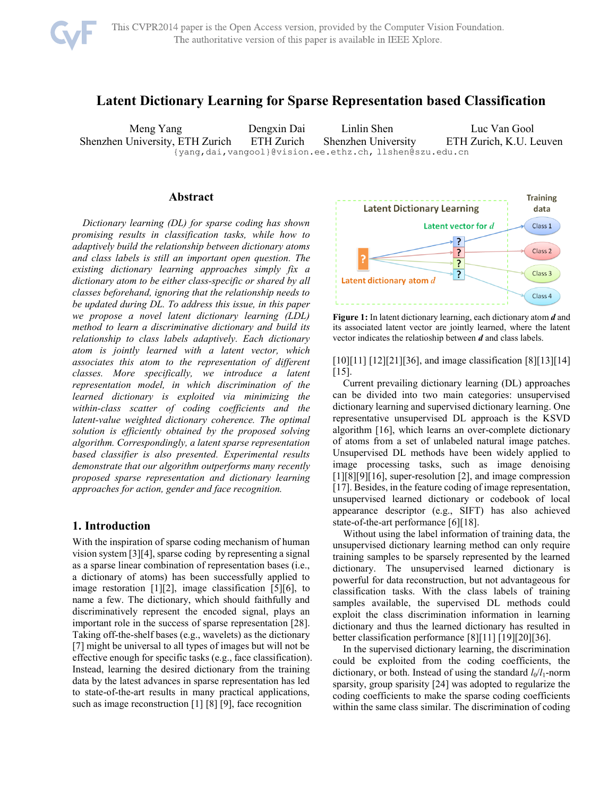# **Latent Dictionary Learning for Sparse Representation based Classification**

Meng Yang Dengxin Dai Linlin Shen Luc Van Gool Shenzhen University, ETH Zurich ETH Zurich Shenzhen University ETH Zurich, K.U. Leuven {yang,dai,vangool}@vision.ee.ethz.ch, llshen@szu.edu.cn

## **Abstract**

*Dictionary learning (DL) for sparse coding has shown promising results in classification tasks, while how to adaptively build the relationship between dictionary atoms and class labels is still an important open question. The existing dictionary learning approaches simply fix a dictionary atom to be either class-specific or shared by all classes beforehand, ignoring that the relationship needs to be updated during DL. To address this issue, in this paper we propose a novel latent dictionary learning (LDL) method to learn a discriminative dictionary and build its relationship to class labels adaptively. Each dictionary atom is jointly learned with a latent vector, which associates this atom to the representation of different classes. More specifically, we introduce a latent representation model, in which discrimination of the learned dictionary is exploited via minimizing the within-class scatter of coding coefficients and the latent-value weighted dictionary coherence. The optimal solution is efficiently obtained by the proposed solving algorithm. Correspondingly, a latent sparse representation based classifier is also presented. Experimental results demonstrate that our algorithm outperforms many recently proposed sparse representation and dictionary learning approaches for action, gender and face recognition.* 

## **1. Introduction**

With the inspiration of sparse coding mechanism of human vision system [3][4], sparse coding by representing a signal as a sparse linear combination of representation bases (i.e., a dictionary of atoms) has been successfully applied to image restoration [1][2], image classification [5][6], to name a few. The dictionary, which should faithfully and discriminatively represent the encoded signal, plays an important role in the success of sparse representation [28]. Taking off-the-shelf bases (e.g., wavelets) as the dictionary [7] might be universal to all types of images but will not be effective enough for specific tasks (e.g., face classification). Instead, learning the desired dictionary from the training data by the latest advances in sparse representation has led to state-of-the-art results in many practical applications, such as image reconstruction [1] [8] [9], face recognition





[10][11] [12][21][36], and image classification [8][13][14] [15].

Current prevailing dictionary learning (DL) approaches can be divided into two main categories: unsupervised dictionary learning and supervised dictionary learning. One representative unsupervised DL approach is the KSVD algorithm [16], which learns an over-complete dictionary of atoms from a set of unlabeled natural image patches. Unsupervised DL methods have been widely applied to image processing tasks, such as image denoising [1][8][9][16], super-resolution [2], and image compression [17]. Besides, in the feature coding of image representation, unsupervised learned dictionary or codebook of local appearance descriptor (e.g., SIFT) has also achieved state-of-the-art performance [6][18].

Without using the label information of training data, the unsupervised dictionary learning method can only require training samples to be sparsely represented by the learned dictionary. The unsupervised learned dictionary is powerful for data reconstruction, but not advantageous for classification tasks. With the class labels of training samples available, the supervised DL methods could exploit the class discrimination information in learning dictionary and thus the learned dictionary has resulted in better classification performance [8][11] [19][20][36].

In the supervised dictionary learning, the discrimination could be exploited from the coding coefficients, the dictionary, or both. Instead of using the standard  $l_0/l_1$ -norm sparsity, group sparisity [24] was adopted to regularize the coding coefficients to make the sparse coding coefficients within the same class similar. The discrimination of coding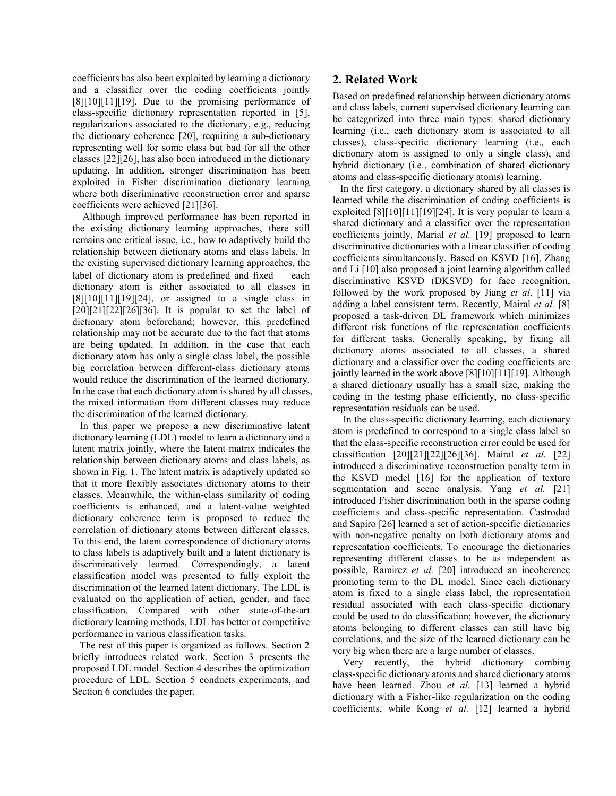coefficients has also been exploited by learning a dictionary and a classifier over the coding coefficients jointly [8][10][11][19]. Due to the promising performance of class-specific dictionary representation reported in [5], regularizations associated to the dictionary, e.g., reducing the dictionary coherence [20], requiring a sub-dictionary representing well for some class but bad for all the other classes [22][26], has also been introduced in the dictionary updating. In addition, stronger discrimination has been exploited in Fisher discrimination dictionary learning where both discriminative reconstruction error and sparse coefficients were achieved [21][36].

Although improved performance has been reported in the existing dictionary learning approaches, there still remains one critical issue, i.e., how to adaptively build the relationship between dictionary atoms and class labels. In the existing supervised dictionary learning approaches, the label of dictionary atom is predefined and fixed  $-$  each dictionary atom is either associated to all classes in  $[8][10][11][19][24]$ , or assigned to a single class in  $[20][21][22][26][36]$ . It is popular to set the label of dictionary atom beforehand; however, this predefined relationship may not be accurate due to the fact that atoms are being updated. In addition, in the case that each dictionary atom has only a single class label, the possible big correlation between different-class dictionary atoms would reduce the discrimination of the learned dictionary. In the case that each dictionary atom is shared by all classes, the mixed information from different classes may reduce the discrimination of the learned dictionary.

In this paper we propose a new discriminative latent dictionary learning (LDL) model to learn a dictionary and a latent matrix jointly, where the latent matrix indicates the relationship between dictionary atoms and class labels, as shown in Fig. 1. The latent matrix is adaptively updated so that it more flexibly associates dictionary atoms to their classes. Meanwhile, the within-class similarity of coding coefficients is enhanced, and a latent-value weighted dictionary coherence term is proposed to reduce the correlation of dictionary atoms between different classes. To this end, the latent correspondence of dictionary atoms to class labels is adaptively built and a latent dictionary is discriminatively learned. Correspondingly, a latent classification model was presented to fully exploit the discrimination of the learned latent dictionary. The LDL is evaluated on the application of action, gender, and face classification. Compared with other state-of-the-art dictionary learning methods, LDL has better or competitive performance in various classification tasks.

The rest of this paper is organized as follows. Section 2 briefly introduces related work. Section 3 presents the proposed LDL model. Section 4 describes the optimization procedure of LDL. Section 5 conducts experiments, and Section 6 concludes the paper.

## **2. Related Work**

Based on predefined relationship between dictionary atoms and class labels, current supervised dictionary learning can be categorized into three main types: shared dictionary learning (i.e., each dictionary atom is associated to all classes), class-specific dictionary learning (i.e., each dictionary atom is assigned to only a single class), and hybrid dictionary (i.e., combination of shared dictionary atoms and class-specific dictionary atoms) learning.

In the first category, a dictionary shared by all classes is learned while the discrimination of coding coefficients is exploited [8][10][11][19][24]. It is very popular to learn a shared dictionary and a classifier over the representation coefficients jointly. Marial *et al.* [19] proposed to learn discriminative dictionaries with a linear classifier of coding coefficients simultaneously. Based on KSVD [16], Zhang and Li [10] also proposed a joint learning algorithm called discriminative KSVD (DKSVD) for face recognition, followed by the work proposed by Jiang *et al*. [11] via adding a label consistent term. Recently, Mairal *et al.* [8] proposed a task-driven DL framework which minimizes different risk functions of the representation coefficients for different tasks. Generally speaking, by fixing all dictionary atoms associated to all classes, a shared dictionary and a classifier over the coding coefficients are jointly learned in the work above [8][10][11][19]. Although a shared dictionary usually has a small size, making the coding in the testing phase efficiently, no class-specific representation residuals can be used.

In the class-specific dictionary learning, each dictionary atom is predefined to correspond to a single class label so that the class-specific reconstruction error could be used for classification [20][21][22][26][36]. Mairal *et al.* [22] introduced a discriminative reconstruction penalty term in the KSVD model [16] for the application of texture segmentation and scene analysis. Yang *et al.* [21] introduced Fisher discrimination both in the sparse coding coefficients and class-specific representation. Castrodad and Sapiro [26] learned a set of action-specific dictionaries with non-negative penalty on both dictionary atoms and representation coefficients. To encourage the dictionaries representing different classes to be as independent as possible, Ramirez *et al.* [20] introduced an incoherence promoting term to the DL model. Since each dictionary atom is fixed to a single class label, the representation residual associated with each class-specific dictionary could be used to do classification; however, the dictionary atoms belonging to different classes can still have big correlations, and the size of the learned dictionary can be very big when there are a large number of classes.

Very recently, the hybrid dictionary combing class-specific dictionary atoms and shared dictionary atoms have been learned. Zhou et al. [13] learned a hybrid dictionary with a Fisher-like regularization on the coding coefficients, while Kong *et al.* [12] learned a hybrid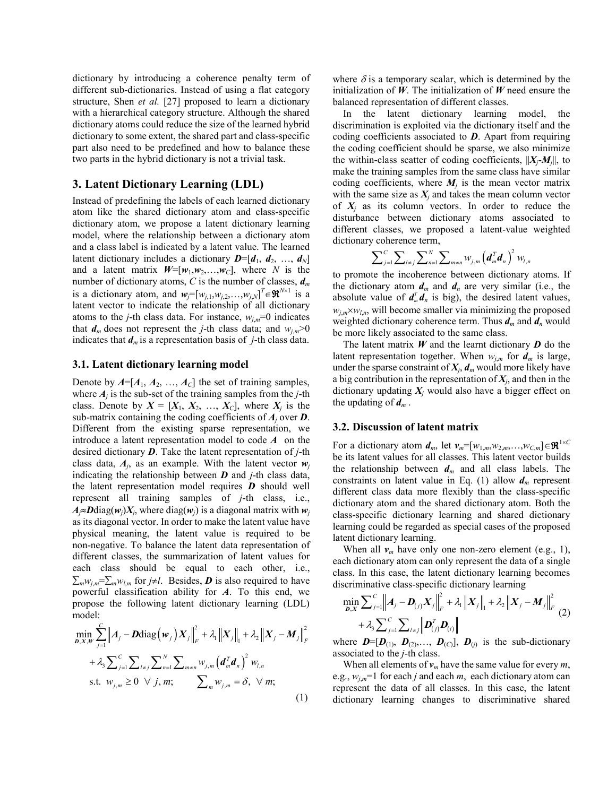dictionary by introducing a coherence penalty term of different sub-dictionaries. Instead of using a flat category structure, Shen *et al.* [27] proposed to learn a dictionary with a hierarchical category structure. Although the shared dictionary atoms could reduce the size of the learned hybrid dictionary to some extent, the shared part and class-specific part also need to be predefined and how to balance these two parts in the hybrid dictionary is not a trivial task.

## **3. Latent Dictionary Learning (LDL)**

Instead of predefining the labels of each learned dictionary atom like the shared dictionary atom and class-specific dictionary atom, we propose a latent dictionary learning model, where the relationship between a dictionary atom and a class label is indicated by a latent value. The learned latent dictionary includes a dictionary  $D=[d_1, d_2, ..., d_N]$ and a latent matrix  $W=[w_1,w_2,\ldots,w_C]$ , where *N* is the number of dictionary atoms, *C* is the number of classes, *d<sup>m</sup>* is a dictionary atom, and  $\mathbf{w}_j = [w_{j,1}, w_{j,2}, \dots, w_{j,N}]^T \in \mathbb{R}^{N \times 1}$  is a latent vector to indicate the relationship of all dictionary atoms to the *j*-th class data. For instance,  $w_{j,m}$ =0 indicates that  $d_m$  does not represent the *j*-th class data; and  $w_i$ <sub>*m*</sub>>0</sub> indicates that  $d_m$  is a representation basis of *j*-th class data.

### **3.1. Latent dictionary learning model**

Denote by  $A=[A_1, A_2, ..., A_C]$  the set of training samples, where  $A_j$  is the sub-set of the training samples from the *j*-th class. Denote by  $X = [X_1, X_2, ..., X_C]$ , where  $X_j$  is the sub-matrix containing the coding coefficients of  $A_i$  over  $D$ . Different from the existing sparse representation, we introduce a latent representation model to code *A* on the desired dictionary *D*. Take the latent representation of *j*-th class data,  $A_j$ , as an example. With the latent vector  $w_j$ indicating the relationship between *D* and *j*-th class data, the latent representation model requires *D* should well represent all training samples of *j*-th class, i.e.,  $A_j \approx D \text{diag}(w_j) X_j$ , where  $\text{diag}(w_j)$  is a diagonal matrix with  $w_j$ as its diagonal vector. In order to make the latent value have physical meaning, the latent value is required to be non-negative. To balance the latent data representation of different classes, the summarization of latent values for each class should be equal to each other, i.e.,  $\sum_{m} w_{j,m} = \sum_{m} w_{l,m}$  for  $j \neq l$ . Besides, *D* is also required to have powerful classification ability for *A*. To this end, we propose the following latent dictionary learning (LDL) model:

model:  
\n
$$
\min_{D,X,W} \sum_{j=1}^{C} \left\| A_j - D \text{diag}\left(w_j\right) X_j \right\|_F^2 + \lambda_1 \left\| X_j \right\|_1 + \lambda_2 \left\| X_j - M_j \right\|_F^2
$$
\n
$$
+ \lambda_3 \sum_{j=1}^{C} \sum_{l \neq j} \sum_{n=1}^{N} \sum_{m \neq n} w_{j,m} \left( d_m^T d_n \right)^2 w_{l,n}
$$
\n
$$
\text{s.t. } w_{j,m} \ge 0 \ \forall j, m; \qquad \sum_m w_{j,m} = \delta, \ \forall m; \tag{1}
$$

where  $\delta$  is a temporary scalar, which is determined by the initialization of  $W$ . The initialization of  $W$  need ensure the balanced representation of different classes.

In the latent dictionary learning model, the discrimination is exploited via the dictionary itself and the coding coefficients associated to *D*. Apart from requiring the coding coefficient should be sparse, we also minimize the within-class scatter of coding coefficients,  $||X_j - M_j||$ , to make the training samples from the same class have similar coding coefficients, where  $M_j$  is the mean vector matrix with the same size as  $X_i$  and takes the mean column vector of  $X_i$  as its column vectors. In order to reduce the disturbance between dictionary atoms associated to different classes, we proposed a latent-value weighted

dictionary coherence term,

\n
$$
\sum_{j=1}^{C} \sum_{l \neq j} \sum_{n=1}^{N} \sum_{m \neq n} w_{j,m} \left( \boldsymbol{d}_{m}^{T} \boldsymbol{d}_{n} \right)^{2} w_{l,m}
$$

to promote the incoherence between dictionary atoms. If the dictionary atom  $d_m$  and  $d_n$  are very similar (i.e., the absolute value of  $d_m^T d_n$  is big), the desired latent values,  $w_{j,m} \times w_{l,n}$ , will become smaller via minimizing the proposed weighted dictionary coherence term. Thus  $d_m$  and  $d_n$  would be more likely associated to the same class.

The latent matrix *W* and the learnt dictionary *D* do the latent representation together. When  $w_{j,m}$  for  $d_m$  is large, under the sparse constraint of  $X_j$ ,  $d_m$  would more likely have a big contribution in the representation of  $X_j$ , and then in the dictionary updating  $X_i$  would also have a bigger effect on the updating of  $d_m$ .

#### **3.2. Discussion of latent matrix**

For a dictionary atom  $d_m$ , let  $v_m = [w_{1,m}, w_{2,m}, \ldots, w_{C,m}] \in \mathbb{R}^{1 \times C}$ be its latent values for all classes. This latent vector builds the relationship between  $d_m$  and all class labels. The constraints on latent value in Eq. (1) allow  $d_m$  represent different class data more flexibly than the class-specific dictionary atom and the shared dictionary atom. Both the class-specific dictionary learning and shared dictionary learning could be regarded as special cases of the proposed latent dictionary learning.

When all  $v_m$  have only one non-zero element (e.g., 1), each dictionary atom can only represent the data of a single class. In this case, the latent dictionary learning becomes

discriminative class-specific dictionary learning  
\n
$$
\min_{\mathbf{D}, X} \sum_{j=1}^{C} ||A_j - \mathbf{D}_{(j)} X_j||_F^2 + \lambda_1 ||X_j||_1 + \lambda_2 ||X_j - M_j||_F^2
$$
\n
$$
+ \lambda_3 \sum_{j=1}^{C} \sum_{l \neq j} ||\mathbf{D}_{(j)}^T \mathbf{D}_{(l)}||
$$
\n(2)

where  $\mathbf{D}=[\mathbf{D}_{(1)}, \mathbf{D}_{(2)}, \dots, \mathbf{D}_{(C)}], \mathbf{D}_{(j)}$  is the sub-dictionary associated to the *j*-th class.

When all elements of  $v_m$  have the same value for every *m*, e.g.,  $w_{i,m}$ =1 for each *j* and each *m*, each dictionary atom can represent the data of all classes. In this case, the latent dictionary learning changes to discriminative shared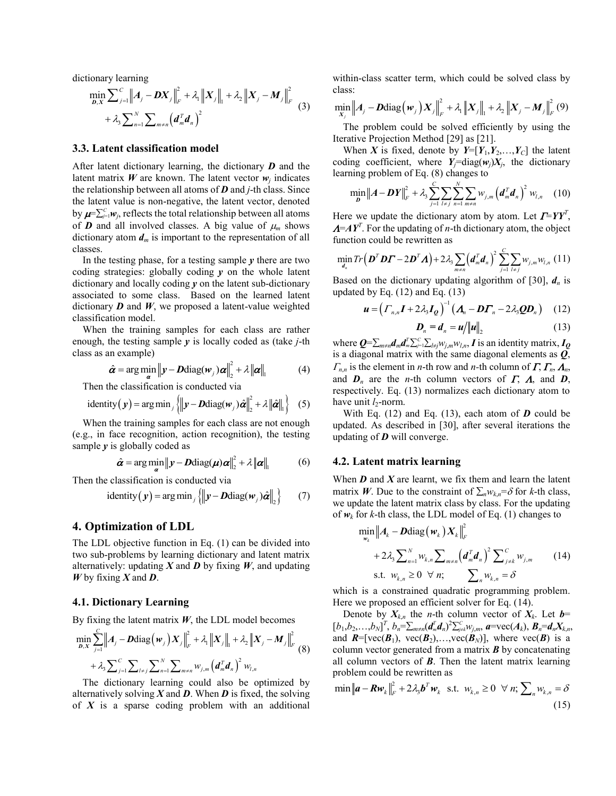dictionary learning

ionary learning  
\n
$$
\min_{D,X} \sum_{j=1}^{C} ||A_j - DX_j||_F^2 + \lambda_1 ||X_j||_1 + \lambda_2 ||X_j - M_j||_F^2
$$
\n
$$
+ \lambda_3 \sum_{n=1}^{N} \sum_{m \neq n} (d_m^T d_n)^2
$$
\n(3)

## **3.3. Latent classification model**

After latent dictionary learning, the dictionary *D* and the latent matrix *W* are known. The latent vector  $w_j$  indicates the relationship between all atoms of *D* and *j*-th class. Since the latent value is non-negative, the latent vector, denoted by  $\boldsymbol{\mu} = \sum_{j=1}^{C} w_j$ , reflects the total relationship between all atoms of *D* and all involved classes. A big value of  $\mu_m$  shows dictionary atom  $d_m$  is important to the representation of all classes.

In the testing phase, for a testing sample *y* there are two coding strategies: globally coding *y* on the whole latent dictionary and locally coding *y* on the latent sub-dictionary associated to some class. Based on the learned latent dictionary  $\bm{D}$  and  $\bm{W}$ , we proposed a latent-value weighted classification model.

When the training samples for each class are rather enough, the testing sample *y* is locally coded as (take *j*-th class as an example)

$$
\hat{\boldsymbol{\alpha}} = \arg\min_{\boldsymbol{\alpha}} \|\mathbf{y} - \boldsymbol{D}\text{diag}(\mathbf{w}_j)\boldsymbol{\alpha}\|_2^2 + \lambda \|\boldsymbol{\alpha}\|_1 \tag{4}
$$

Then the classification is conducted via  
identity 
$$
(y) = \arg \min_j {\left\| y - D \text{diag}(w_j) \hat{\boldsymbol{\alpha}} \right\|_2^2 + \lambda \|\hat{\boldsymbol{\alpha}}\|_1}
$$
 (5)

When the training samples for each class are not enough (e.g., in face recognition, action recognition), the testing sample *y* is globally coded as

is globally coded as  
\n
$$
\hat{\boldsymbol{\alpha}} = \arg \min_{\boldsymbol{\alpha}} \|\mathbf{y} - \mathbf{D} \text{diag}(\boldsymbol{\mu}) \boldsymbol{\alpha}\|_2^2 + \lambda \|\boldsymbol{\alpha}\|_1
$$
 (6)

Then the classification is conducted via  
identity 
$$
(y) = \arg \min_j \{ ||y - D \text{diag}(w_j) \hat{\boldsymbol{\alpha}}||_2 \}
$$
 (7)

## **4. Optimization of LDL**

The LDL objective function in Eq. (1) can be divided into two sub-problems by learning dictionary and latent matrix alternatively: updating  $X$  and  $D$  by fixing  $W$ , and updating *W* by fixing *X* and *D*.

## **4.1. Dictionary Learning**

By fixing the latent matrix 
$$
W
$$
, the LDL model becomes  
\n
$$
\min_{D,X} \sum_{j=1}^{C} ||A_j - D \text{diag}(\boldsymbol{w}_j) \boldsymbol{X}_j||_F^2 + \lambda_1 ||\boldsymbol{X}_j||_1 + \lambda_2 ||\boldsymbol{X}_j - \boldsymbol{M}_j||_F^2
$$
\n
$$
+ \lambda_3 \sum_{j=1}^{C} \sum_{l \neq j} \sum_{n=1}^{N} \sum_{m \neq n} w_{j,m} (d_m^T d_n)^2 w_{l,n}
$$

The dictionary learning could also be optimized by alternatively solving  $X$  and  $D$ . When  $D$  is fixed, the solving of *X* is a sparse coding problem with an additional within-class scatter term, which could be solved class by class:

class:  
\n
$$
\min_{X_j} \left\| A_j - D \text{diag}\left( w_j \right) X_j \right\|_F^2 + \lambda_1 \left\| X_j \right\|_1 + \lambda_2 \left\| X_j - M_j \right\|_F^2 (9)
$$

The problem could be solved efficiently by using the Iterative Projection Method [29] as [21].

When *X* is fixed, denote by  $Y=[Y_1, Y_2, \ldots, Y_C]$  the latent coding coefficient, where  $Y_j = \text{diag}(w_j)X_j$ , the dictionary learning problem of Eq. (8) changes to

rning problem of Eq. (8) changes to  
\n
$$
\min_{\mathbf{D}} ||A - \mathbf{D}Y||_F^2 + \lambda_3 \sum_{j=1}^C \sum_{l \neq j} \sum_{n=1}^N \sum_{m \neq n} w_{j,m} \left( \mathbf{d}_m^T \mathbf{d}_n \right)^2 w_{l,n}
$$
 (10)

Here we update the dictionary atom by atom. Let  $\mathbf{\Gamma} = \mathbf{Y}\mathbf{Y}^T$ ,  $\vec{A} = A \vec{Y}^T$ . For the updating of *n*-th dictionary atom, the object function could be rewritten as <br>  $\min_{\vec{a}_n} Tr(\vec{D}^T \vec{D} \vec{\Gamma} - 2\vec{D}^T \vec{A}) + 2\lambda_3 \sum_{m \neq n} (d_m^T d_n)^2 \sum_{j=1}^C \sum_{l \neq j} w_{j,m} w_{l,n}$  (11)

function could be rewritten as  
\n
$$
\min_{d_n} Tr(D^T D \boldsymbol{\Gamma} - 2 \boldsymbol{D}^T \boldsymbol{\Lambda}) + 2 \lambda_3 \sum_{m \neq n} \left( \boldsymbol{d}_m^T \boldsymbol{d}_n \right)^2 \sum_{j=1}^C \sum_{l \neq j} w_{j,m} w_{l,n}
$$
(11)

Based on the dictionary updating algorithm of [30], *d<sup>n</sup>* is

updated by Eq. (12) and Eq. (13)  
\n
$$
\boldsymbol{u} = \left(\boldsymbol{\Gamma}_{n,n}\boldsymbol{I} + 2\lambda_3\boldsymbol{I}_{\mathcal{Q}}\right)^{-1}\left(\boldsymbol{\Lambda}_n - \boldsymbol{D}\boldsymbol{\Gamma}_n - 2\lambda_3\boldsymbol{Q}\boldsymbol{D}_n\right) \quad (12)
$$

$$
\boldsymbol{D}_n = \boldsymbol{d}_n = \boldsymbol{u}/\|\boldsymbol{u}\|_2 \tag{13}
$$

where  $Q = \sum_{m \neq n} d_m d_m^T \sum_{j=1}^C \sum_{l \neq j} w_{j,m} w_{l,n}$ , *I* is an identity matrix, *I*<sub>Q</sub> is a diagonal matrix with the same diagonal elements as  $\overline{Q}$ ,  $\Gamma_{n,n}$  is the element in *n*-th row and *n*-th column of  $\Gamma, \Gamma_n, \Lambda_n$ , and  $D_n$  are the *n*-th column vectors of  $\Gamma$ ,  $\Lambda$ , and  $D$ , respectively. Eq. (13) normalizes each dictionary atom to have unit  $l_2$ -norm.

With Eq. (12) and Eq. (13), each atom of *D* could be updated. As described in [30], after several iterations the updating of *D* will converge.

#### **4.2. Latent matrix learning**

When *D* and *X* are learnt, we fix them and learn the latent matrix *W*. Due to the constraint of  $\sum_{n} w_{k} = \delta$  for *k*-th class, we update the latent matrix class by class. For the updating

of 
$$
w_k
$$
 for k-th class, the LDL model of Eq. (1) changes to  
\n
$$
\min_{w_k} ||A_k - \mathbf{D} \text{diag}(\mathbf{w}_k) \mathbf{X}_k||_F^2
$$
\n
$$
+ 2\lambda_3 \sum_{n=1}^N w_{k,n} \sum_{m \neq n} (\mathbf{d}_m^T \mathbf{d}_n)^2 \sum_{j \neq k}^C w_{j,m}
$$
\n
$$
\text{s.t. } w_{k,n} \ge 0 \quad \forall \ n; \qquad \sum_{n} w_{k,n} = \delta
$$
\n(14)

which is a constrained quadratic programming problem. Here we proposed an efficient solver for Eq.  $(14)$ .

Denote by  $X_{k,n}$  the *n*-th column vector of  $X_k$ . Let  $b=$  $[b_1,b_2,...,b_N]^T$ ,  $b_n = \sum_{m \neq n} (\boldsymbol{d}_m^T \boldsymbol{d}_n)^2 \sum_{j \neq k}^C w_{j,m}$ ,  $\boldsymbol{a} = \text{vec}(A_k)$ ,  $\boldsymbol{B}_n = \boldsymbol{d}_n X_{k,n}$ , and  $\mathbf{R} = [\text{vec}(\mathbf{B}_1), \text{vec}(\mathbf{B}_2), \dots, \text{vec}(\mathbf{B}_N)]$ , where  $\text{vec}(\mathbf{B})$  is a column vector generated from a matrix *B* by concatenating all column vectors of *B*. Then the latent matrix learning

problem could be rewritten as  
\n
$$
\min ||\mathbf{a} - \mathbf{R} \mathbf{w}_k||_F^2 + 2\lambda_3 \mathbf{b}^T \mathbf{w}_k \text{ s.t. } w_{k,n} \ge 0 \quad \forall n; \sum_n w_{k,n} = \delta
$$
\n(15)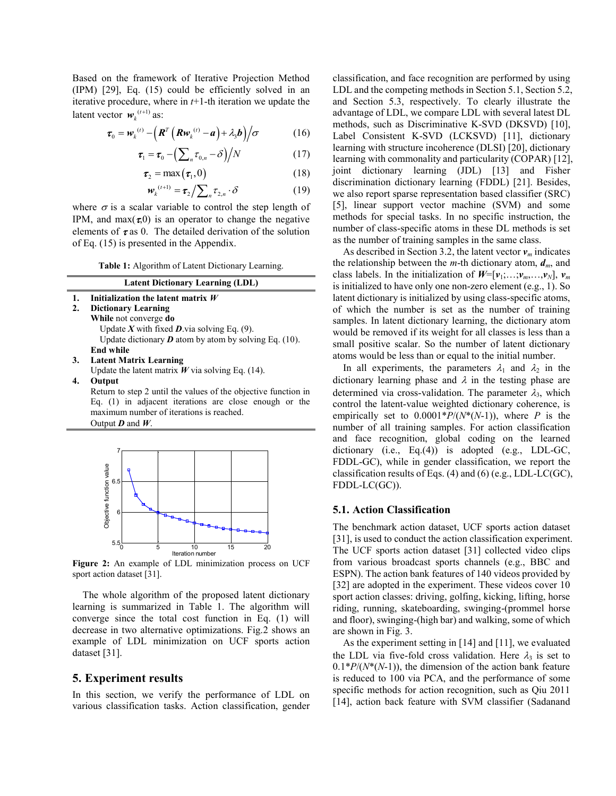Based on the framework of Iterative Projection Method (IPM) [29], Eq. (15) could be efficiently solved in an iterative procedure, where in *t*+1-th iteration we update the latent vector  $w_k^{(t+1)}$  as:

$$
\tau_0 = w_k^{(t)} - \left(R^T \left(R w_k^{(t)} - a\right) + \lambda_3 b\right) / \sigma \tag{16}
$$

$$
\boldsymbol{\tau}_1 = \boldsymbol{\tau}_0 - \left(\sum_n \tau_{0,n} - \delta\right) / N \tag{17}
$$

$$
\tau_2 = \max(\tau_1, 0) \tag{18}
$$

$$
\boldsymbol{w_k}^{(t+1)} = \boldsymbol{\tau}_2 / \sum_n \tau_{2,n} \cdot \delta \tag{19}
$$

where  $\sigma$  is a scalar variable to control the step length of IPM, and max $(\tau,0)$  is an operator to change the negative elements of  $\tau$  as 0. The detailed derivation of the solution of Eq. (15) is presented in the Appendix.

**Table 1:** Algorithm of Latent Dictionary Learning.

|    | <b>Latent Dictionary Learning (LDL)</b>                      |  |  |  |  |
|----|--------------------------------------------------------------|--|--|--|--|
| 1. | Initialization the latent matrix $W$                         |  |  |  |  |
| 2. | <b>Dictionary Learning</b>                                   |  |  |  |  |
|    | While not converge do                                        |  |  |  |  |
|    | Update X with fixed $D$ via solving Eq. (9).                 |  |  |  |  |
|    | Update dictionary $\bm{D}$ atom by atom by solving Eq. (10). |  |  |  |  |
|    | <b>End while</b>                                             |  |  |  |  |
| 3. | <b>Latent Matrix Learning</b>                                |  |  |  |  |
|    | Update the latent matrix $W$ via solving Eq. (14).           |  |  |  |  |
|    | Output                                                       |  |  |  |  |
|    |                                                              |  |  |  |  |

Return to step 2 until the values of the objective function in Eq. (1) in adjacent iterations are close enough or the maximum number of iterations is reached. Output *D* and *W*.



**Figure 2:** An example of LDL minimization process on UCF sport action dataset [31].

The whole algorithm of the proposed latent dictionary learning is summarized in Table 1. The algorithm will converge since the total cost function in Eq. (1) will decrease in two alternative optimizations. Fig.2 shows an example of LDL minimization on UCF sports action dataset [31].

### **5. Experiment results**

In this section, we verify the performance of LDL on various classification tasks. Action classification, gender classification, and face recognition are performed by using LDL and the competing methods in Section 5.1, Section 5.2, and Section 5.3, respectively. To clearly illustrate the advantage of LDL, we compare LDL with several latest DL methods, such as Discriminative K-SVD (DKSVD) [10], Label Consistent K-SVD (LCKSVD) [11], dictionary learning with structure incoherence (DLSI) [20], dictionary learning with commonality and particularity (COPAR) [12], joint dictionary learning (JDL) [13] and Fisher discrimination dictionary learning (FDDL) [21]. Besides, we also report sparse representation based classifier (SRC) [5], linear support vector machine (SVM) and some methods for special tasks. In no specific instruction, the number of class-specific atoms in these DL methods is set as the number of training samples in the same class.

As described in Section 3.2, the latent vector *v<sup>m</sup>* indicates the relationship between the *m*-th dictionary atom, *dm*, and class labels. In the initialization of  $W=[v_1; \ldots; v_m, \ldots, v_N], v_m$ is initialized to have only one non-zero element (e.g., 1). So latent dictionary is initialized by using class-specific atoms, of which the number is set as the number of training samples. In latent dictionary learning, the dictionary atom would be removed if its weight for all classes is less than a small positive scalar. So the number of latent dictionary atoms would be less than or equal to the initial number.

In all experiments, the parameters  $\lambda_1$  and  $\lambda_2$  in the dictionary learning phase and  $\lambda$  in the testing phase are determined via cross-validation. The parameter  $\lambda_3$ , which control the latent-value weighted dictionary coherence, is empirically set to  $0.0001*P/(N*(N-1))$ , where *P* is the number of all training samples. For action classification and face recognition, global coding on the learned dictionary (i.e., Eq.(4)) is adopted (e.g., LDL-GC, FDDL-GC), while in gender classification, we report the classification results of Eqs. (4) and (6) (e.g., LDL-LC(GC), FDDL-LC(GC)).

#### **5.1. Action Classification**

The benchmark action dataset, UCF sports action dataset [31], is used to conduct the action classification experiment. The UCF sports action dataset [31] collected video clips from various broadcast sports channels (e.g., BBC and ESPN). The action bank features of 140 videos provided by [32] are adopted in the experiment. These videos cover 10 sport action classes: driving, golfing, kicking, lifting, horse riding, running, skateboarding, swinging-(prommel horse and floor), swinging-(high bar) and walking, some of which are shown in Fig. 3.

As the experiment setting in [14] and [11], we evaluated the LDL via five-fold cross validation. Here  $\lambda_3$  is set to 0.1\**P*/(*N*\*(*N*-1)), the dimension of the action bank feature is reduced to 100 via PCA, and the performance of some specific methods for action recognition, such as Qiu 2011 [14], action back feature with SVM classifier (Sadanand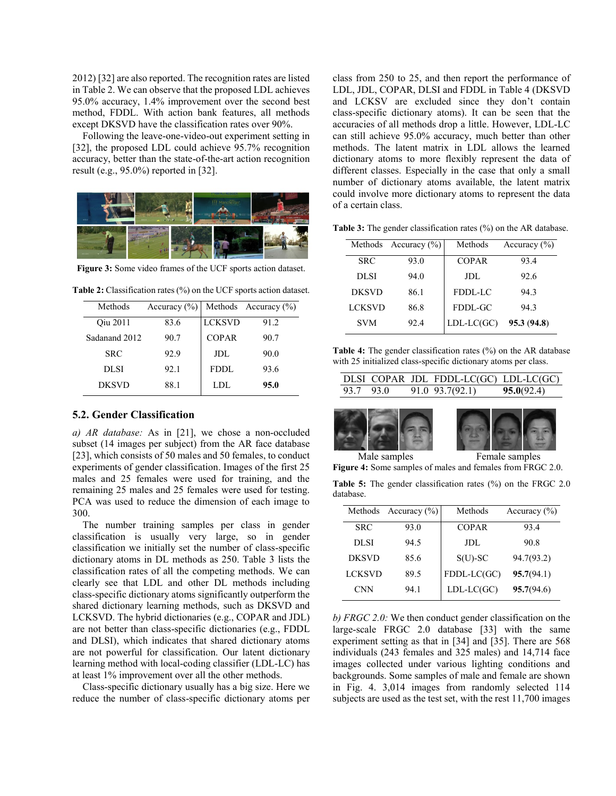2012) [32] are also reported. The recognition rates are listed in Table 2. We can observe that the proposed LDL achieves 95.0% accuracy, 1.4% improvement over the second best method, FDDL. With action bank features, all methods except DKSVD have the classification rates over 90%.

Following the leave-one-video-out experiment setting in [32], the proposed LDL could achieve 95.7% recognition accuracy, better than the state-of-the-art action recognition result (e.g., 95.0%) reported in [32].



**Figure 3:** Some video frames of the UCF sports action dataset.

| Methods       | Accuracy $(\% )$ |               | Methods Accuracy $(\% )$ |
|---------------|------------------|---------------|--------------------------|
| Oiu 2011      | 83.6             | <b>LCKSVD</b> | 91.2                     |
| Sadanand 2012 | 90.7             | <b>COPAR</b>  | 90.7                     |
| <b>SRC</b>    | 92.9             | JDL.          | 90.0                     |
| <b>DLSI</b>   | 92.1             | FDDL.         | 93.6                     |
| <b>DKSVD</b>  | 88.1             | LDL.          | 95.0                     |

**Table 2:** Classification rates (%) on the UCF sports action dataset.

## **5.2. Gender Classification**

*a) AR database:* As in [21], we chose a non-occluded subset (14 images per subject) from the AR face database [23], which consists of 50 males and 50 females, to conduct experiments of gender classification. Images of the first 25 males and 25 females were used for training, and the remaining 25 males and 25 females were used for testing. PCA was used to reduce the dimension of each image to 300.

The number training samples per class in gender classification is usually very large, so in gender classification we initially set the number of class-specific dictionary atoms in DL methods as 250. Table 3 lists the classification rates of all the competing methods. We can clearly see that LDL and other DL methods including class-specific dictionary atoms significantly outperform the shared dictionary learning methods, such as DKSVD and LCKSVD. The hybrid dictionaries (e.g., COPAR and JDL) are not better than class-specific dictionaries (e.g., FDDL and DLSI), which indicates that shared dictionary atoms are not powerful for classification. Our latent dictionary learning method with local-coding classifier (LDL-LC) has at least 1% improvement over all the other methods.

Class-specific dictionary usually has a big size. Here we reduce the number of class-specific dictionary atoms per class from 250 to 25, and then report the performance of LDL, JDL, COPAR, DLSI and FDDL in Table 4 (DKSVD and LCKSV are excluded since they don't contain class-specific dictionary atoms). It can be seen that the accuracies of all methods drop a little. However, LDL-LC can still achieve 95.0% accuracy, much better than other methods. The latent matrix in LDL allows the learned dictionary atoms to more flexibly represent the data of different classes. Especially in the case that only a small number of dictionary atoms available, the latent matrix could involve more dictionary atoms to represent the data of a certain class.

**Table 3:** The gender classification rates (%) on the AR database.

|               | Methods Accuracy $(\% )$ | Methods        | Accuracy $(\% )$ |
|---------------|--------------------------|----------------|------------------|
| <b>SRC</b>    | 93.0                     | <b>COPAR</b>   | 93.4             |
| DLSI          | 94.0                     | JDL.           | 92.6             |
| <b>DKSVD</b>  | 86.1                     | FDDL-LC        | 943              |
| <b>LCKSVD</b> | 86.8                     | <b>FDDL-GC</b> | 943              |
| <b>SVM</b>    | 92.4                     | $LDL-LC(GC)$   | 95.3 (94.8)      |

**Table 4:** The gender classification rates (%) on the AR database with 25 initialized class-specific dictionary atoms per class.

|           |  | DLSI COPAR JDL FDDL-LC(GC) LDL-LC(GC) |            |
|-----------|--|---------------------------------------|------------|
| 93.7 93.0 |  | 91.0 93.7(92.1)                       | 95.0(92.4) |

$$
\mathbb{Z}\left[ \mathbb{Z}\right]
$$



Male samples Female samples

**Figure 4:** Some samples of males and females from FRGC 2.0.

**Table 5:** The gender classification rates (%) on the FRGC 2.0 database.

| Methods      | Accuracy $(\% )$ | Methods      | Accuracy $(\% )$ |
|--------------|------------------|--------------|------------------|
| <b>SRC</b>   | 93.0             | <b>COPAR</b> | 93.4             |
| <b>DLSI</b>  | 94.5             | JDL.         | 90.8             |
| <b>DKSVD</b> | 85.6             | $S(U)$ -SC   | 94.7(93.2)       |
| LCKSVD       | 89.5             | FDDL-LC(GC)  | 95.7(94.1)       |
| CNN          | 94.1             | LDL-LC(GC)   | 95.7(94.6)       |

*b) FRGC 2.0:* We then conduct gender classification on the large-scale FRGC 2.0 database [33] with the same experiment setting as that in [34] and [35]. There are 568 individuals (243 females and 325 males) and 14,714 face images collected under various lighting conditions and backgrounds. Some samples of male and female are shown in Fig. 4. 3,014 images from randomly selected 114 subjects are used as the test set, with the rest 11,700 images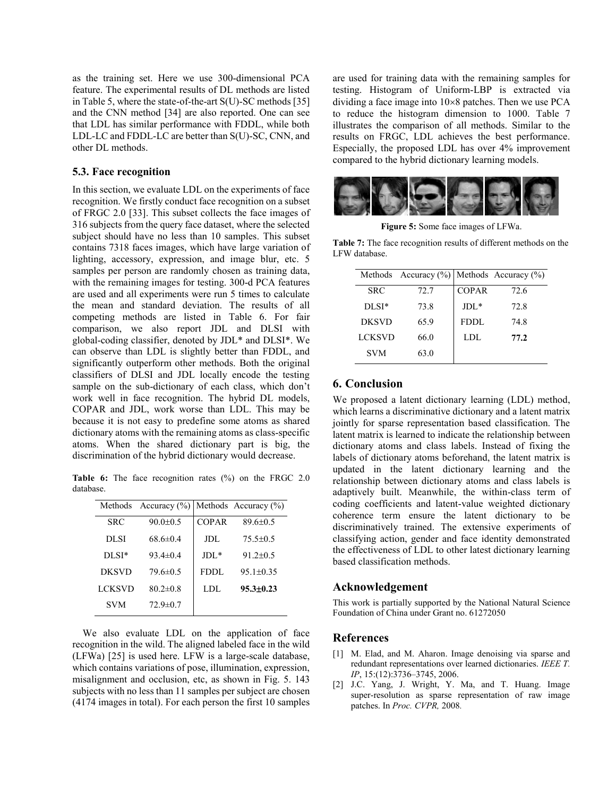as the training set. Here we use 300-dimensional PCA feature. The experimental results of DL methods are listed in Table 5, where the state-of-the-art S(U)-SC methods [35] and the CNN method [34] are also reported. One can see that LDL has similar performance with FDDL, while both LDL-LC and FDDL-LC are better than S(U)-SC, CNN, and other DL methods.

## **5.3. Face recognition**

In this section, we evaluate LDL on the experiments of face recognition. We firstly conduct face recognition on a subset of FRGC 2.0 [33]. This subset collects the face images of 316 subjects from the query face dataset, where the selected subject should have no less than 10 samples. This subset contains 7318 faces images, which have large variation of lighting, accessory, expression, and image blur, etc. 5 samples per person are randomly chosen as training data, with the remaining images for testing. 300-d PCA features are used and all experiments were run 5 times to calculate the mean and standard deviation. The results of all competing methods are listed in Table 6. For fair comparison, we also report JDL and DLSI with global-coding classifier, denoted by JDL\* and DLSI\*. We can observe than LDL is slightly better than FDDL, and significantly outperform other methods. Both the original classifiers of DLSI and JDL locally encode the testing sample on the sub-dictionary of each class, which don't work well in face recognition. The hybrid DL models, COPAR and JDL, work worse than LDL. This may be because it is not easy to predefine some atoms as shared dictionary atoms with the remaining atoms as class-specific atoms. When the shared dictionary part is big, the discrimination of the hybrid dictionary would decrease.

**Table 6:** The face recognition rates (%) on the FRGC 2.0 database.

| Methods    | Accuracy $(\%)$ Methods Accuracy $(\%)$ |              |                 |
|------------|-----------------------------------------|--------------|-----------------|
| <b>SRC</b> | $90.0 \pm 0.5$                          | <b>COPAR</b> | $89.6 \pm 0.5$  |
| DLSI       | $68.6\pm0.4$                            | JDL.         | $75.5 \pm 0.5$  |
| $DI.SI*$   | $93.4 \pm 0.4$                          | $JDI.*$      | $91.2 \pm 0.5$  |
| DKSVD      | $79.6 \pm 0.5$                          | <b>FDDL</b>  | $95.1 \pm 0.35$ |
| LCKSVD     | $80.2 \pm 0.8$                          | LDL.         | $95.3 \pm 0.23$ |
| SVM        | $72.9 \pm 0.7$                          |              |                 |

We also evaluate LDL on the application of face recognition in the wild. The aligned labeled face in the wild (LFWa) [25] is used here. LFW is a large-scale database, which contains variations of pose, illumination, expression, misalignment and occlusion, etc, as shown in Fig. 5. 143 subjects with no less than 11 samples per subject are chosen (4174 images in total). For each person the first 10 samples are used for training data with the remaining samples for testing. Histogram of Uniform-LBP is extracted via dividing a face image into  $10\times8$  patches. Then we use PCA to reduce the histogram dimension to 1000. Table 7 illustrates the comparison of all methods. Similar to the results on FRGC, LDL achieves the best performance. Especially, the proposed LDL has over 4% improvement compared to the hybrid dictionary learning models.



**Figure 5:** Some face images of LFWa.

**Table 7:** The face recognition results of different methods on the LFW database.

|               | Methods Accuracy $(\%)$ Methods Accuracy $(\%)$ |              |      |
|---------------|-------------------------------------------------|--------------|------|
| <b>SRC</b>    | 72.7                                            | <b>COPAR</b> | 72.6 |
| $DLSI*$       | 73.8                                            | $JDI.*$      | 72.8 |
| <b>DKSVD</b>  | 65.9                                            | FDDL         | 74.8 |
| <b>LCKSVD</b> | 66.0                                            | LDL.         | 77.2 |
| <b>SVM</b>    | 63.0                                            |              |      |

## **6. Conclusion**

We proposed a latent dictionary learning (LDL) method, which learns a discriminative dictionary and a latent matrix jointly for sparse representation based classification. The latent matrix is learned to indicate the relationship between dictionary atoms and class labels. Instead of fixing the labels of dictionary atoms beforehand, the latent matrix is updated in the latent dictionary learning and the relationship between dictionary atoms and class labels is adaptively built. Meanwhile, the within-class term of coding coefficients and latent-value weighted dictionary coherence term ensure the latent dictionary to be discriminatively trained. The extensive experiments of classifying action, gender and face identity demonstrated the effectiveness of LDL to other latest dictionary learning based classification methods.

## **Acknowledgement**

This work is partially supported by the National Natural Science Foundation of China under Grant no. 61272050

## **References**

- [1] M. Elad, and M. Aharon. Image denoising via sparse and redundant representations over learned dictionaries. *IEEE T. IP*, 15:(12):3736–3745, 2006.
- [2] J.C. Yang, J. Wright, Y. Ma, and T. Huang. Image super-resolution as sparse representation of raw image patches. In *Proc. CVPR,* 2008*.*